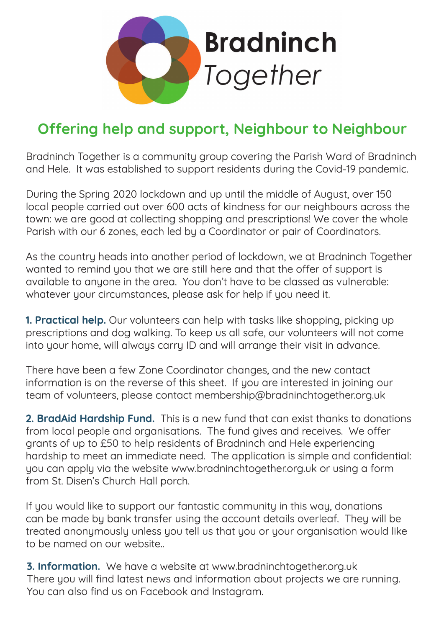

## **Offering help and support, Neighbour to Neighbour**

Bradninch Together is a community group covering the Parish Ward of Bradninch and Hele. It was established to support residents during the Covid-19 pandemic.

During the Spring 2020 lockdown and up until the middle of August, over 150 local people carried out over 600 acts of kindness for our neighbours across the town: we are good at collecting shopping and prescriptions! We cover the whole Parish with our 6 zones, each led by a Coordinator or pair of Coordinators.

As the country heads into another period of lockdown, we at Bradninch Together wanted to remind you that we are still here and that the offer of support is available to anyone in the area. You don't have to be classed as vulnerable: whatever your circumstances, please ask for help if you need it.

**1. Practical help.** Our volunteers can help with tasks like shopping, picking up prescriptions and dog walking. To keep us all safe, our volunteers will not come into your home, will always carry ID and will arrange their visit in advance.

There have been a few Zone Coordinator changes, and the new contact information is on the reverse of this sheet. If you are interested in joining our team of volunteers, please contact membership@bradninchtogether.org.uk

**2. BradAid Hardship Fund.** This is a new fund that can exist thanks to donations from local people and organisations. The fund gives and receives. We offer grants of up to £50 to help residents of Bradninch and Hele experiencing hardship to meet an immediate need. The application is simple and confdential: you can apply via the website www.bradninchtogether.org.uk or using a form from St. Disen's Church Hall porch.

If you would like to support our fantastic community in this way, donations can be made by bank transfer using the account details overleaf. They will be treated anonymously unless you tell us that you or your organisation would like to be named on our website..

**3. Information.** We have a website at www.bradninchtogether.org.uk There you will find latest news and information about projects we are running. You can also find us on Facebook and Instagram.